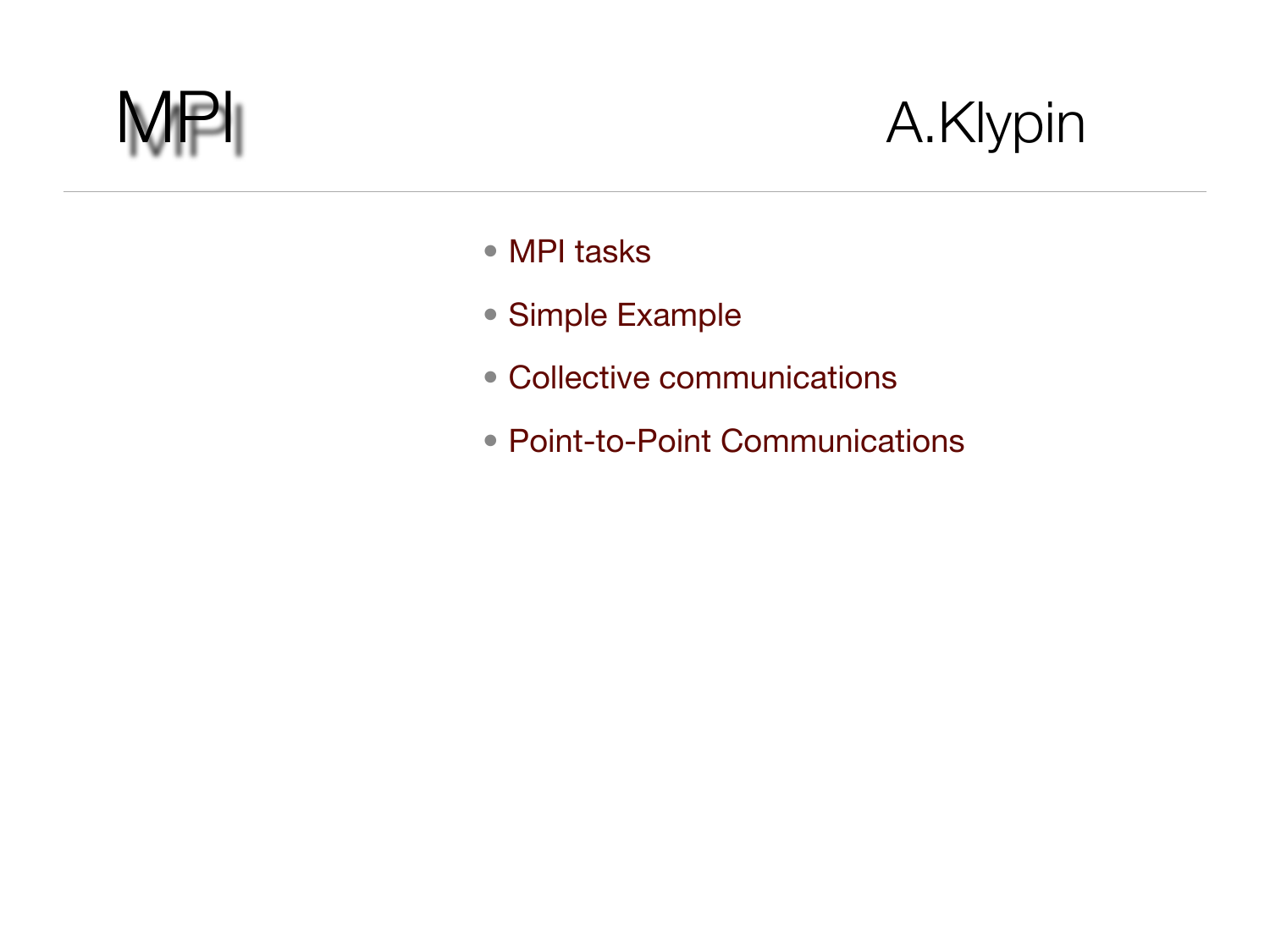

### A.Klypin

- MPI tasks
- Simple Example
- Collective communications
- Point-to-Point Communications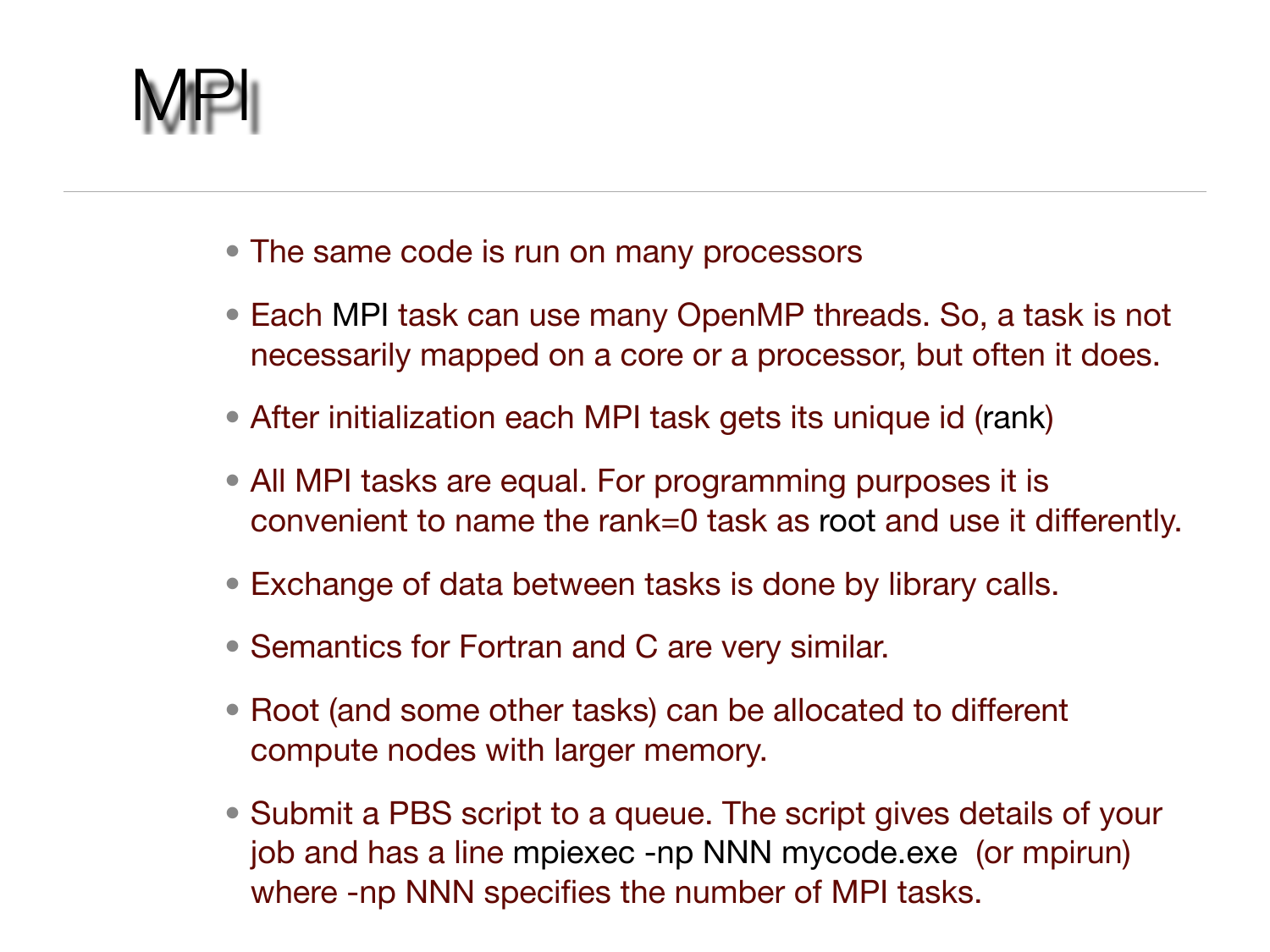MPI

- The same code is run on many processors
- Each MPI task can use many OpenMP threads. So, a task is not necessarily mapped on a core or a processor, but often it does.
- After initialization each MPI task gets its unique id (rank)
- All MPI tasks are equal. For programming purposes it is convenient to name the rank=0 task as root and use it differently.
- Exchange of data between tasks is done by library calls.
- Semantics for Fortran and C are very similar.
- Root (and some other tasks) can be allocated to different compute nodes with larger memory.
- Submit a PBS script to a queue. The script gives details of your job and has a line mpiexec -np NNN mycode.exe (or mpirun) where -np NNN specifies the number of MPI tasks.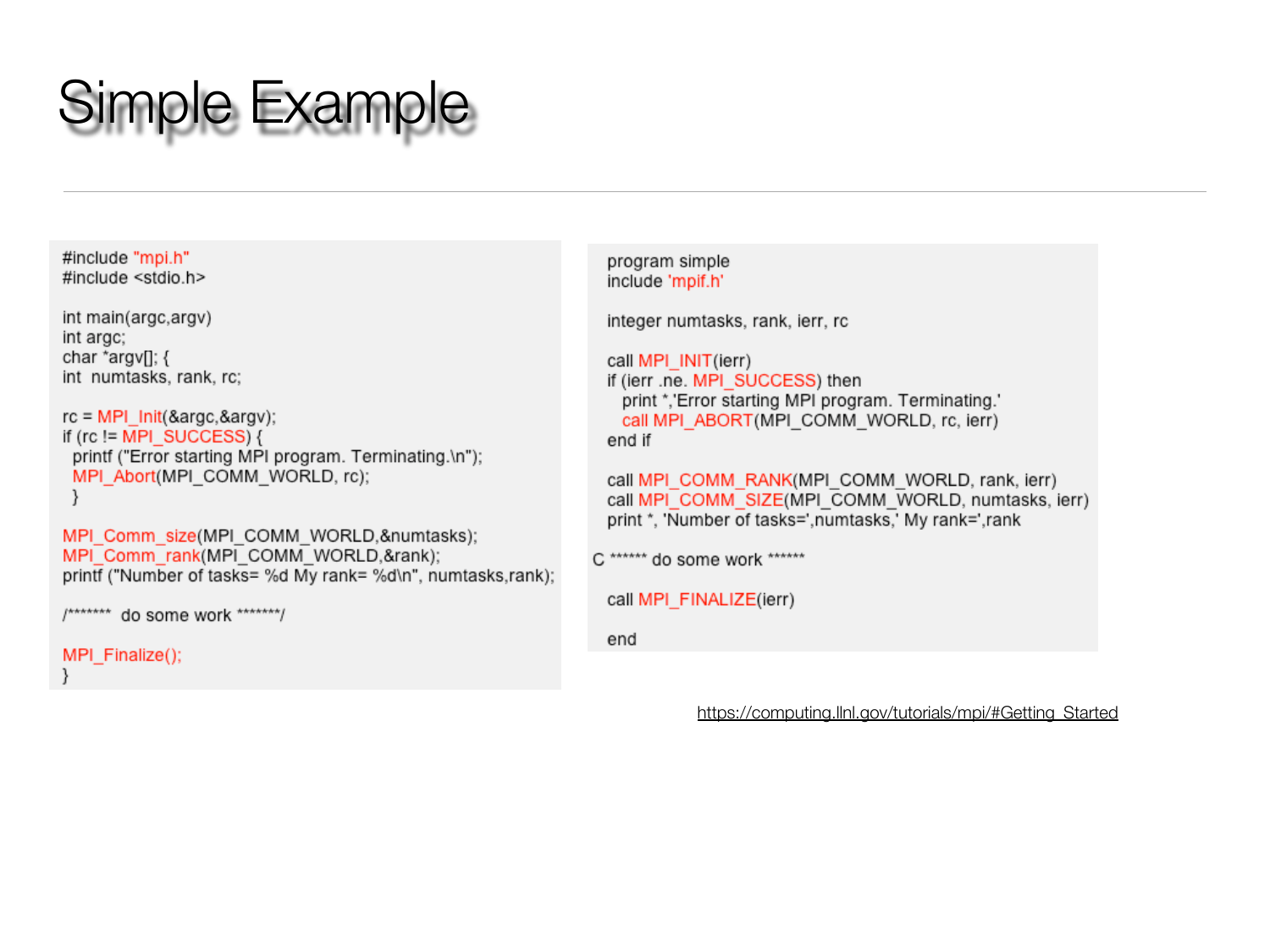## Simple Example

#include "mpi.h" #include <stdio.h>

```
int main(argc,argv)
int argc;
char *argv[]; {
int numtasks, rank, rc;
```

```
rc = MPI Init(&argc,&argv);
if (rc != MPI SUCCESS) {
 printf ("Error starting MPI program. Terminating.\n");
 MPI Abort(MPI COMM WORLD, rc);
 }
```

```
MPI Comm size(MPI COMM WORLD, &numtasks);
MPI Comm rank(MPI COMM WORLD, &rank);
printf ("Number of tasks= %d My rank= %d\n", numtasks,rank);
```

```
/******* do some work *******/
```

```
MPI_Finalize();
```

```
program simple
include 'mpif.h'
```
integer numtasks, rank, ierr, rc

```
call MPI INIT(ierr)
if (ierr .ne. MPI SUCCESS) then
 print *,'Error starting MPI program. Terminating.'
 call MPI ABORT(MPI COMM WORLD, rc, ierr)
end if
```

```
call MPI COMM RANK(MPI COMM WORLD, rank, ierr)
call MPI COMM SIZE(MPI COMM WORLD, numtasks, ierr)
print *, 'Number of tasks=',numtasks,' My rank=',rank
```

```
C ****** do some work ******
```

```
call MPI_FINALIZE(ierr)
```
end

```
https://computing.llnl.gov/tutorials/mpi/#Getting Started
```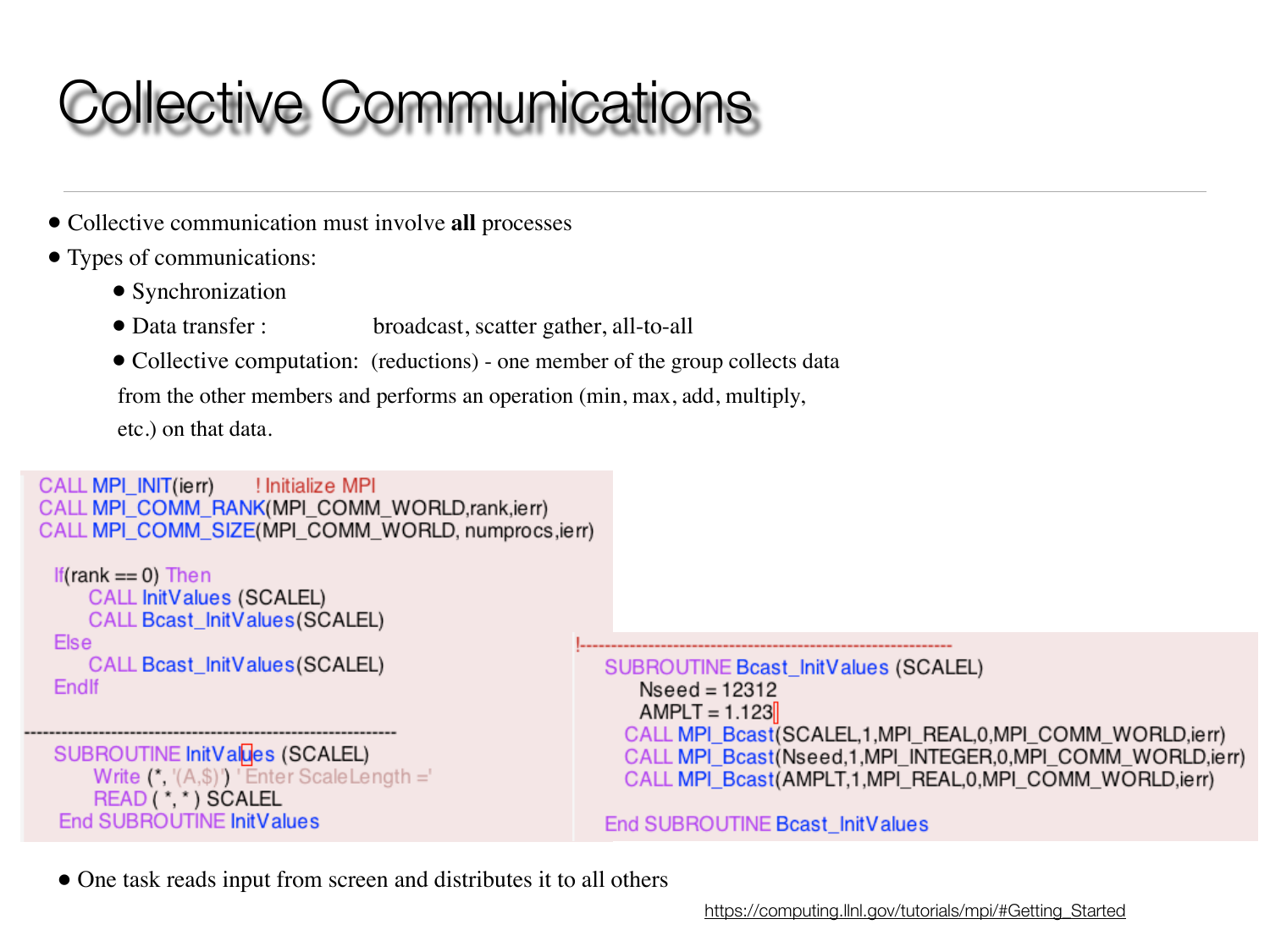# Collective Communications

- Collective communication must involve **all** processes
- Types of communications:
	- Synchronization
	- Data transfer : broadcast, scatter gather, all-to-all
	- Collective computation: (reductions) one member of the group collects data

from the other members and performs an operation (min, max, add, multiply,

etc.) on that data.

```
CALL MPI INIT(ierr)
                    ! Initialize MPI
CALL MPI COMM RANK(MPI COMM WORLD, rank.jerr)
CALL MPI_COMM_SIZE(MPI_COMM_WORLD, numprocs, ierr)
```

```
If(rank == 0) Then
   CALL InitValues (SCALEL)
   CALL Bcast InitValues (SCALEL)
Else
   CALL Bcast_InitValues(SCALEL)
Endlf
```
SUBROUTINE InitValues (SCALEL) Write  $(*, '(A, $)')$  'Enter ScaleLength =' READ (\*,\*) SCALEL<br>End SUBROUTINE InitValues

SUBROUTINE Bcast\_InitValues (SCALEL)  $Nseed = 12312$  $AMPLT = 1.123$ CALL MPI\_Bcast(SCALEL,1,MPI\_REAL,0,MPI\_COMM\_WORLD,ierr) CALL MPI Bcast(Nseed,1,MPI INTEGER,0,MPI COMM WORLD,ierr) CALL MPI\_Bcast(AMPLT,1,MPI\_REAL,0,MPI\_COMM\_WORLD,ierr)

End SUBROUTINE Beast InitValues

• One task reads input from screen and distributes it to all others

[https://computing.llnl.gov/tutorials/mpi/#Getting\\_Started](https://computing.llnl.gov/tutorials/mpi/#Getting_Started)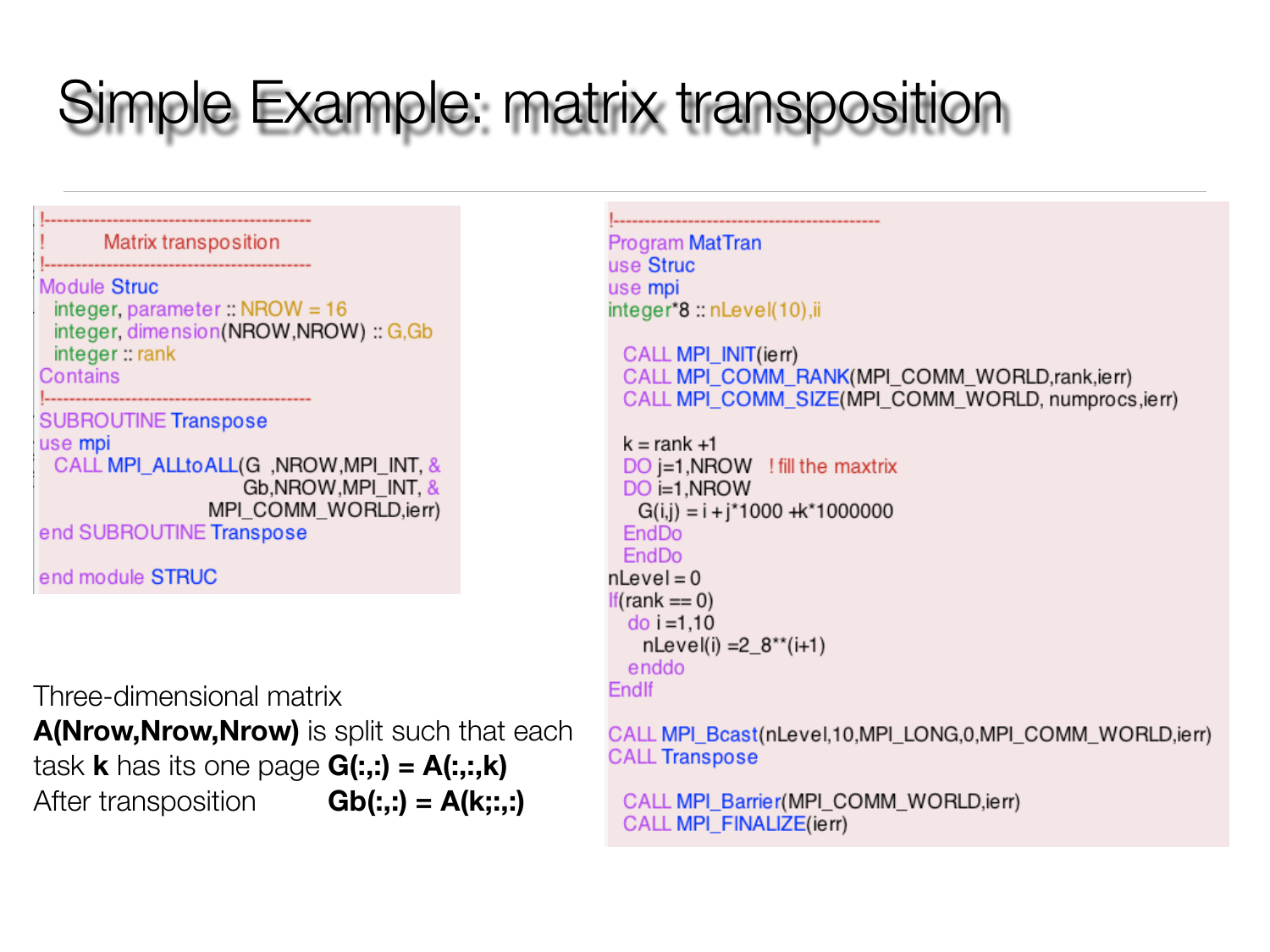# Simple Example: matrix transposition

Matrix transposition Module Struc integer, parameter:: NROW =  $16$ integer, dimension(NROW,NROW) :: G,Gb integer:: rank Contains **SUBROUTINE Transpose** use mpi CALL MPI\_ALLtoALL(G, NROW, MPI\_INT, & Gb, NROW, MPI INT, & MPI\_COMM\_WORLD,ierr) end SUBROUTINE Transpose

end module STRUC

Three-dimensional matrix

**A(Nrow,Nrow,Nrow)** is split such that each task **k** has its one page **G(:,:) = A(:,:,k)** After transposition **Gb(:,:) = A(k;:,:)**

**Program MatTran** use Struc use mpi integer\*8 :: nLevel(10), ii

CALL MPI INIT(ierr) CALL MPI COMM RANK(MPI COMM WORLD, rank, ierr) CALL MPI COMM SIZE(MPI COMM WORLD, numprocs.jerr)

```
k = rank +1DO = 1.NROW ! fill the maxtrix
 DO i=1, NROW
   G(i,j) = i + i*1000 + k*1000000EndDo
 EndDo
nLevel = 0If(rank == 0)
  do i = 1.10
   nLevel(i) = 2_8**(i+1)enddo
Endlf
```
CALL MPI\_Bcast(nLevel,10,MPI\_LONG,0,MPI\_COMM\_WORLD,ierr) **CALL Transpose** 

CALL MPI\_Barrier(MPI\_COMM\_WORLD, ierr) CALL MPI\_FINALIZE(ierr)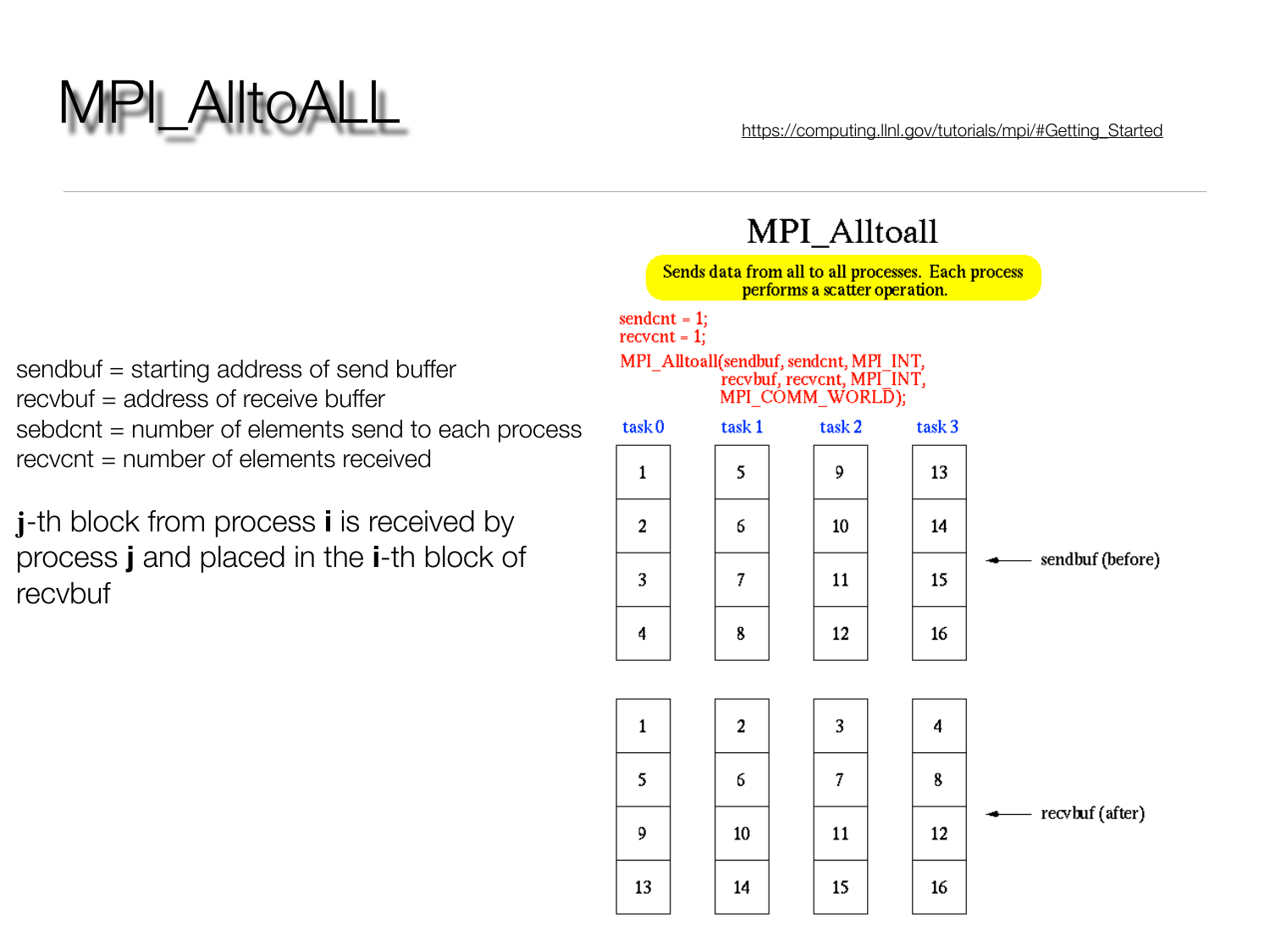

13

14

MPI\_AlltoALL [https://computing.llnl.gov/tutorials/mpi/#Getting\\_Started](https://computing.llnl.gov/tutorials/mpi/#Getting_Started)

15

16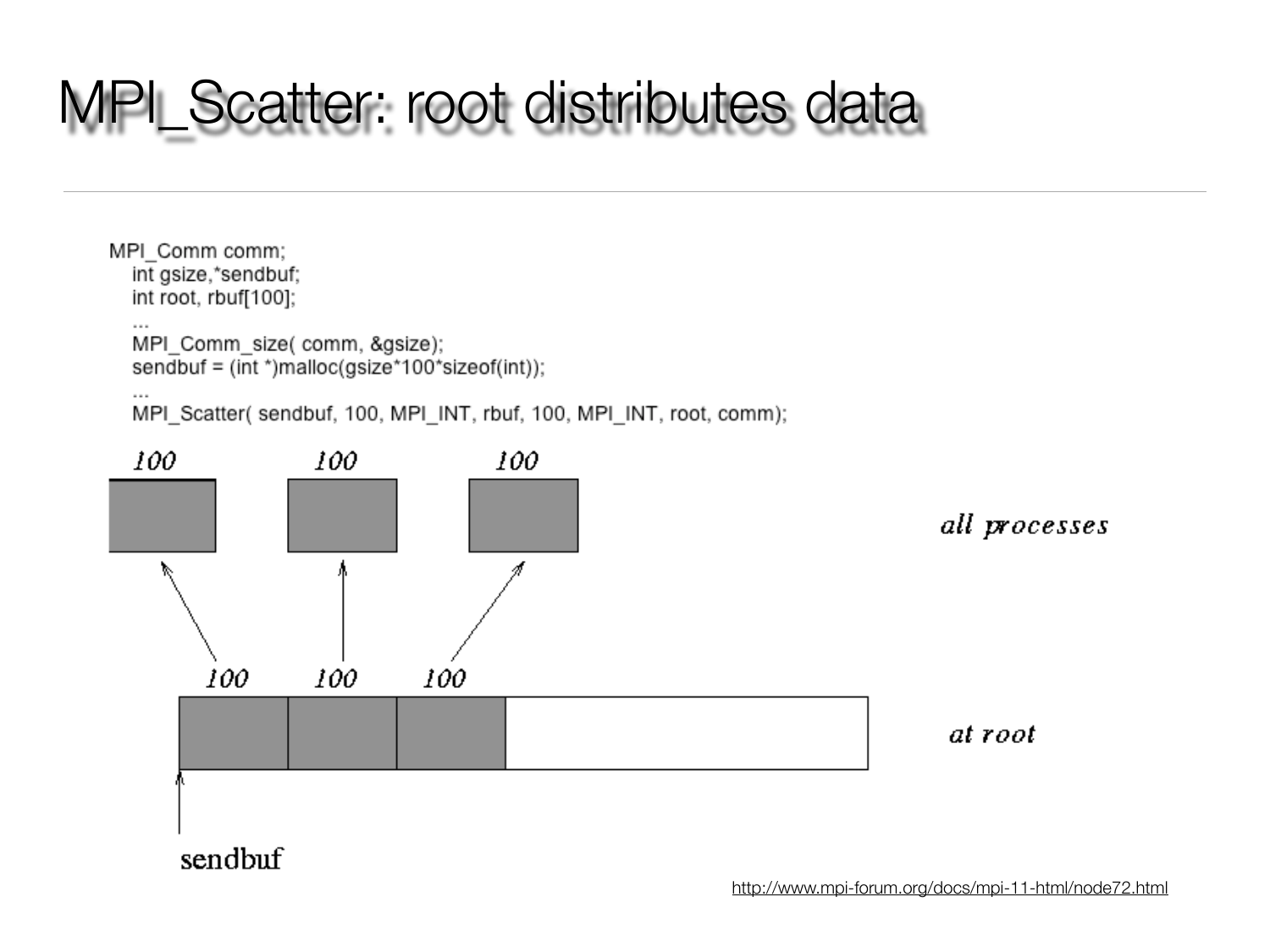### MPI\_Scatter: root distributes data

MPI Comm comm; int gsize,\*sendbuf; int root, rbuf[100];  $\sim$   $\sim$   $\sim$ MPI\_Comm\_size( comm, &gsize); sendbuf = (int \*)malloc(gsize\*100\*sizeof(int));

 $\sim$ 

MPI\_Scatter(sendbuf, 100, MPI\_INT, rbuf, 100, MPI\_INT, root, comm);



<http://www.mpi-forum.org/docs/mpi-11-html/node72.html>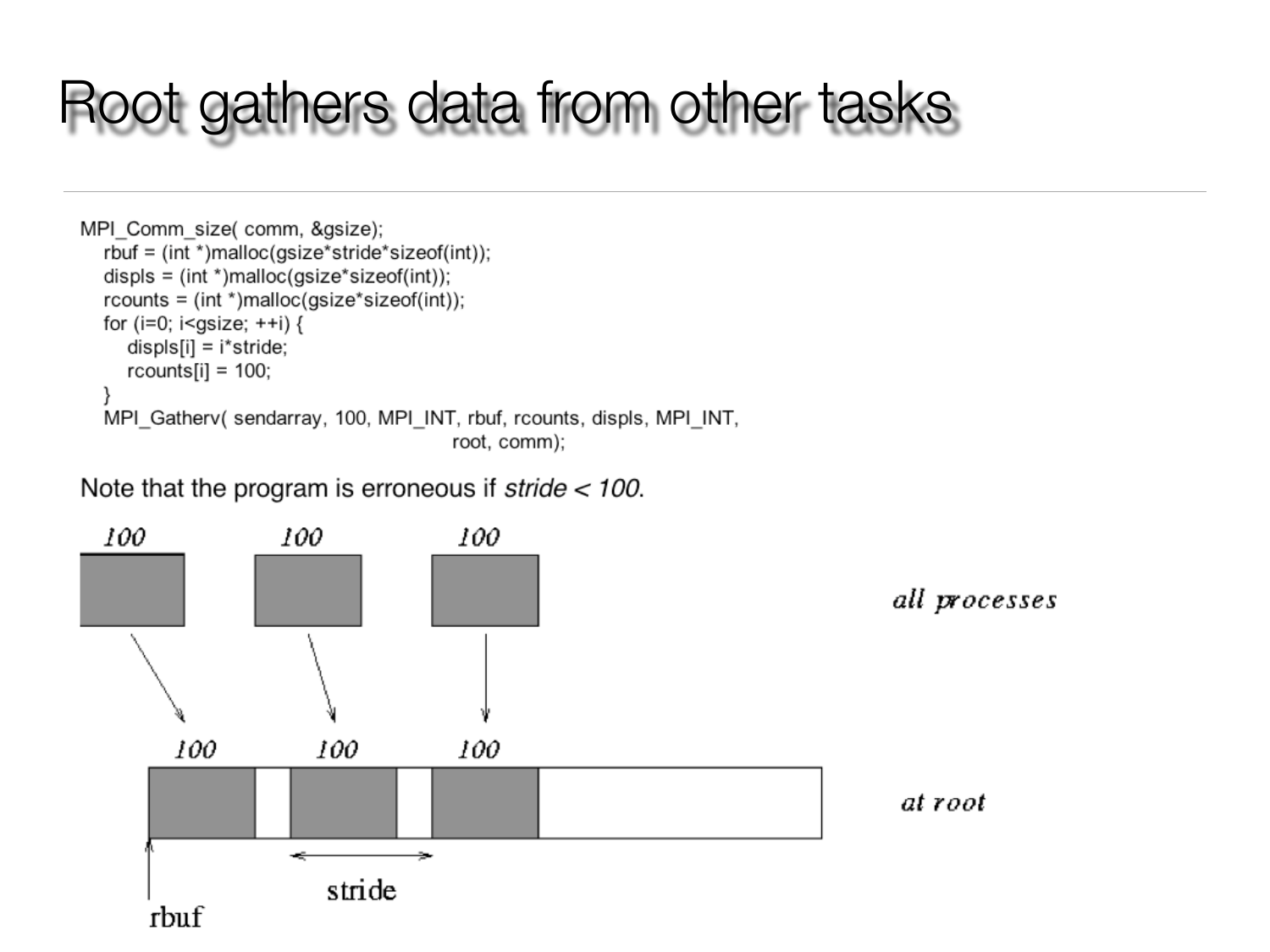### Root gathers data from other tasks

```
MPI Comm size( comm, &gsize);
   rbuf = (int *)malloc(gsize*stride*sizeof(int));
   displs = (int * )<i>malloc</i>(gsize * sizeof(int));r \text{counts} = (int \cdot \text{smalloc}(gsize \cdot \text{sizeof}(int));for (i=0; i<gsize; ++i) {
      displs[i] = i*stride;rcounts[i] = 100;ł
  MPI Gathery (sendarray, 100, MPI INT, rbuf, rcounts, displs, MPI INT,
                                                root, comm);
```
### Note that the program is erroneous if  $\textit{stride} < 100$ .

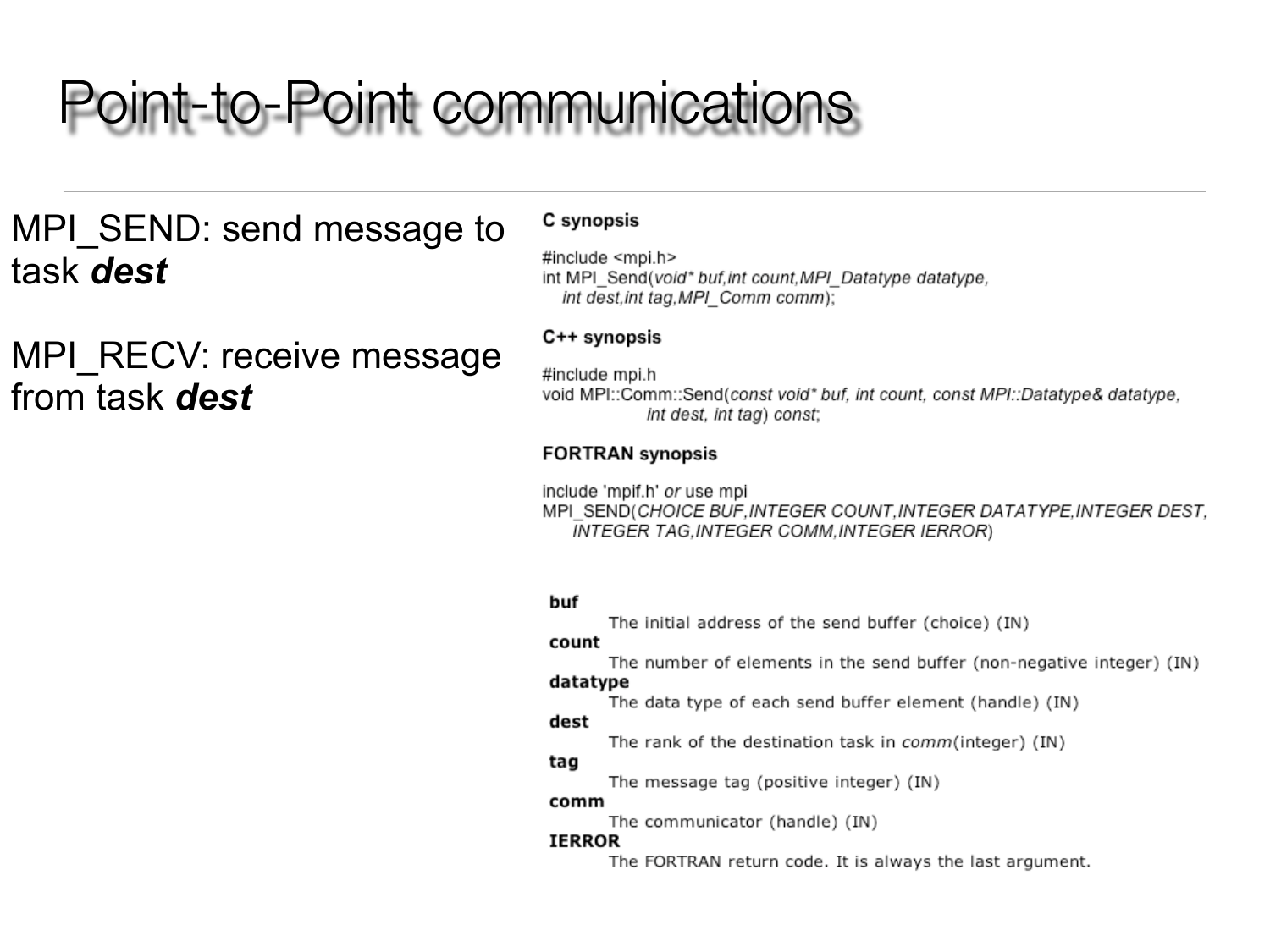### **Point-to-Point communications**

### MPI SEND: send message to task dest

MPI RECV: receive message from task dest

#### C synopsis

#include <mpi.h> int MPI\_Send(void\* buf,int count, MPI\_Datatype datatype, int dest, int tag, MPI Comm comm);

#### C++ synopsis

#include mpi.h void MPI::Comm::Send(const void\* buf, int count, const MPI::Datatype& datatype, int dest, int tag) const;

#### **FORTRAN** synopsis

include 'mpif.h' or use mpi MPI\_SEND(CHOICE BUF, INTEGER COUNT, INTEGER DATATYPE, INTEGER DEST, INTEGER TAG, INTEGER COMM, INTEGER IERROR)

#### buf

The initial address of the send buffer (choice) (IN)

#### count

The number of elements in the send buffer (non-negative integer) (IN)

#### datatype

The data type of each send buffer element (handle) (IN)

#### dest

The rank of the destination task in comm(integer) (IN)

#### tag

The message tag (positive integer) (IN)

#### comm

The communicator (handle) (IN)

#### **IERROR**

The FORTRAN return code. It is always the last argument.